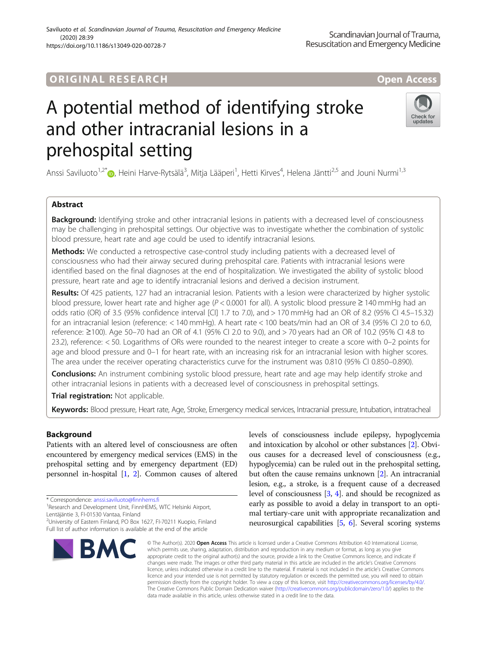## ORIGINAL RESEARCH **CONTRACT CONTRACT CONTRACT CONTRACT CONTRACT CONTRACT CONTRACT CONTRACT CONTRACT CONTRACT CONTRACT CONTRACT CONTRACT CONTRACT CONTRACT CONTRACT CONTRACT CONTRACT CONTRACT CONTRACT CONTRACT CONTRACT CONTR**

## Check for updates

# A potential method of identifying stroke and other intracranial lesions in a prehospital setting

Anssi Saviluoto<sup>1,2[\\*](http://orcid.org/0000-0001-5052-4628)</sup>®, Heini Harve-Rytsälä<sup>3</sup>, Mitja Lääperi<sup>1</sup>, Hetti Kirves<sup>4</sup>, Helena Jäntti<sup>2,5</sup> and Jouni Nurmi<sup>1,3</sup>

### Abstract

**Background:** Identifying stroke and other intracranial lesions in patients with a decreased level of consciousness may be challenging in prehospital settings. Our objective was to investigate whether the combination of systolic blood pressure, heart rate and age could be used to identify intracranial lesions.

Methods: We conducted a retrospective case-control study including patients with a decreased level of consciousness who had their airway secured during prehospital care. Patients with intracranial lesions were identified based on the final diagnoses at the end of hospitalization. We investigated the ability of systolic blood pressure, heart rate and age to identify intracranial lesions and derived a decision instrument.

Results: Of 425 patients, 127 had an intracranial lesion. Patients with a lesion were characterized by higher systolic blood pressure, lower heart rate and higher age ( $P < 0.0001$  for all). A systolic blood pressure  $\geq 140$  mmHg had an odds ratio (OR) of 3.5 (95% confidence interval [CI] 1.7 to 7.0), and > 170 mmHg had an OR of 8.2 (95% CI 4.5–15.32) for an intracranial lesion (reference: < 140 mmHg). A heart rate < 100 beats/min had an OR of 3.4 (95% CI 2.0 to 6.0, reference: ≥100). Age 50–70 had an OR of 4.1 (95% CI 2.0 to 9.0), and > 70 years had an OR of 10.2 (95% CI 4.8 to 23.2), reference: < 50. Logarithms of ORs were rounded to the nearest integer to create a score with 0–2 points for age and blood pressure and 0–1 for heart rate, with an increasing risk for an intracranial lesion with higher scores. The area under the receiver operating characteristics curve for the instrument was 0.810 (95% CI 0.850–0.890).

Conclusions: An instrument combining systolic blood pressure, heart rate and age may help identify stroke and other intracranial lesions in patients with a decreased level of consciousness in prehospital settings.

Trial registration: Not applicable.

Keywords: Blood pressure, Heart rate, Age, Stroke, Emergency medical services, Intracranial pressure, Intubation, intratracheal

### Background

Patients with an altered level of consciousness are often encountered by emergency medical services (EMS) in the prehospital setting and by emergency department (ED) personnel in-hospital [\[1,](#page-6-0) [2\]](#page-6-0). Common causes of altered

<sup>2</sup>University of Eastern Finland, PO Box 1627, FI-70211 Kuopio, Finland Full list of author information is available at the end of the article



levels of consciousness include epilepsy, hypoglycemia and intoxication by alcohol or other substances [\[2](#page-6-0)]. Obvious causes for a decreased level of consciousness (e.g., hypoglycemia) can be ruled out in the prehospital setting, but often the cause remains unknown [[2](#page-6-0)]. An intracranial lesion, e.g., a stroke, is a frequent cause of a decreased level of consciousness [[3](#page-6-0), [4\]](#page-6-0). and should be recognized as early as possible to avoid a delay in transport to an optimal tertiary-care unit with appropriate recanalization and neurosurgical capabilities [\[5,](#page-6-0) [6](#page-6-0)]. Several scoring systems

© The Author(s), 2020 **Open Access** This article is licensed under a Creative Commons Attribution 4.0 International License, which permits use, sharing, adaptation, distribution and reproduction in any medium or format, as long as you give appropriate credit to the original author(s) and the source, provide a link to the Creative Commons licence, and indicate if changes were made. The images or other third party material in this article are included in the article's Creative Commons licence, unless indicated otherwise in a credit line to the material. If material is not included in the article's Creative Commons licence and your intended use is not permitted by statutory regulation or exceeds the permitted use, you will need to obtain permission directly from the copyright holder. To view a copy of this licence, visit [http://creativecommons.org/licenses/by/4.0/.](http://creativecommons.org/licenses/by/4.0/) The Creative Commons Public Domain Dedication waiver [\(http://creativecommons.org/publicdomain/zero/1.0/](http://creativecommons.org/publicdomain/zero/1.0/)) applies to the data made available in this article, unless otherwise stated in a credit line to the data.

<sup>\*</sup> Correspondence: [anssi.saviluoto@finnhems.fi](mailto:anssi.saviluoto@finnhems.fi) <sup>1</sup>

<sup>&</sup>lt;sup>1</sup> Research and Development Unit, FinnHEMS, WTC Helsinki Airport, Lentäjäntie 3, FI-01530 Vantaa, Finland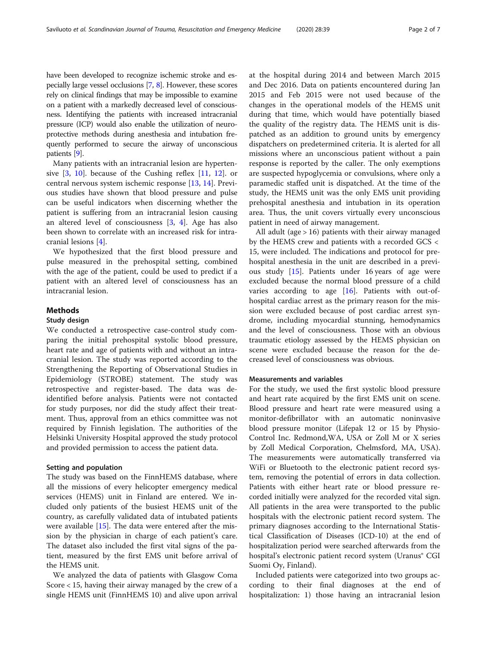have been developed to recognize ischemic stroke and especially large vessel occlusions [\[7](#page-6-0), [8\]](#page-6-0). However, these scores rely on clinical findings that may be impossible to examine on a patient with a markedly decreased level of consciousness. Identifying the patients with increased intracranial pressure (ICP) would also enable the utilization of neuroprotective methods during anesthesia and intubation frequently performed to secure the airway of unconscious patients [\[9\]](#page-6-0).

Many patients with an intracranial lesion are hypertensive [[3,](#page-6-0) [10\]](#page-6-0). because of the Cushing reflex [[11](#page-6-0), [12\]](#page-6-0). or central nervous system ischemic response [[13](#page-6-0), [14](#page-6-0)]. Previous studies have shown that blood pressure and pulse can be useful indicators when discerning whether the patient is suffering from an intracranial lesion causing an altered level of consciousness [\[3,](#page-6-0) [4](#page-6-0)]. Age has also been shown to correlate with an increased risk for intracranial lesions [[4\]](#page-6-0).

We hypothesized that the first blood pressure and pulse measured in the prehospital setting, combined with the age of the patient, could be used to predict if a patient with an altered level of consciousness has an intracranial lesion.

#### Methods

#### Study design

We conducted a retrospective case-control study comparing the initial prehospital systolic blood pressure, heart rate and age of patients with and without an intracranial lesion. The study was reported according to the Strengthening the Reporting of Observational Studies in Epidemiology (STROBE) statement. The study was retrospective and register-based. The data was deidentified before analysis. Patients were not contacted for study purposes, nor did the study affect their treatment. Thus, approval from an ethics committee was not required by Finnish legislation. The authorities of the Helsinki University Hospital approved the study protocol and provided permission to access the patient data.

#### Setting and population

The study was based on the FinnHEMS database, where all the missions of every helicopter emergency medical services (HEMS) unit in Finland are entered. We included only patients of the busiest HEMS unit of the country, as carefully validated data of intubated patients were available  $[15]$  $[15]$ . The data were entered after the mission by the physician in charge of each patient's care. The dataset also included the first vital signs of the patient, measured by the first EMS unit before arrival of the HEMS unit.

We analyzed the data of patients with Glasgow Coma Score < 15, having their airway managed by the crew of a single HEMS unit (FinnHEMS 10) and alive upon arrival at the hospital during 2014 and between March 2015 and Dec 2016. Data on patients encountered during Jan 2015 and Feb 2015 were not used because of the changes in the operational models of the HEMS unit during that time, which would have potentially biased the quality of the registry data. The HEMS unit is dispatched as an addition to ground units by emergency dispatchers on predetermined criteria. It is alerted for all missions where an unconscious patient without a pain response is reported by the caller. The only exemptions are suspected hypoglycemia or convulsions, where only a paramedic staffed unit is dispatched. At the time of the study, the HEMS unit was the only EMS unit providing prehospital anesthesia and intubation in its operation area. Thus, the unit covers virtually every unconscious patient in need of airway management.

All adult (age > 16) patients with their airway managed by the HEMS crew and patients with a recorded GCS < 15, were included. The indications and protocol for prehospital anesthesia in the unit are described in a previous study [\[15](#page-6-0)]. Patients under 16 years of age were excluded because the normal blood pressure of a child varies according to age  $[16]$  $[16]$ . Patients with out-ofhospital cardiac arrest as the primary reason for the mission were excluded because of post cardiac arrest syndrome, including myocardial stunning, hemodynamics and the level of consciousness. Those with an obvious traumatic etiology assessed by the HEMS physician on scene were excluded because the reason for the decreased level of consciousness was obvious.

#### Measurements and variables

For the study, we used the first systolic blood pressure and heart rate acquired by the first EMS unit on scene. Blood pressure and heart rate were measured using a monitor-defibrillator with an automatic noninvasive blood pressure monitor (Lifepak 12 or 15 by Physio-Control Inc. Redmond,WA, USA or Zoll M or X series by Zoll Medical Corporation, Chelmsford, MA, USA). The measurements were automatically transferred via WiFi or Bluetooth to the electronic patient record system, removing the potential of errors in data collection. Patients with either heart rate or blood pressure recorded initially were analyzed for the recorded vital sign. All patients in the area were transported to the public hospitals with the electronic patient record system. The primary diagnoses according to the International Statistical Classification of Diseases (ICD-10) at the end of hospitalization period were searched afterwards from the hospital's electronic patient record system (Uranus® CGI Suomi Oy, Finland).

Included patients were categorized into two groups according to their final diagnoses at the end of hospitalization: 1) those having an intracranial lesion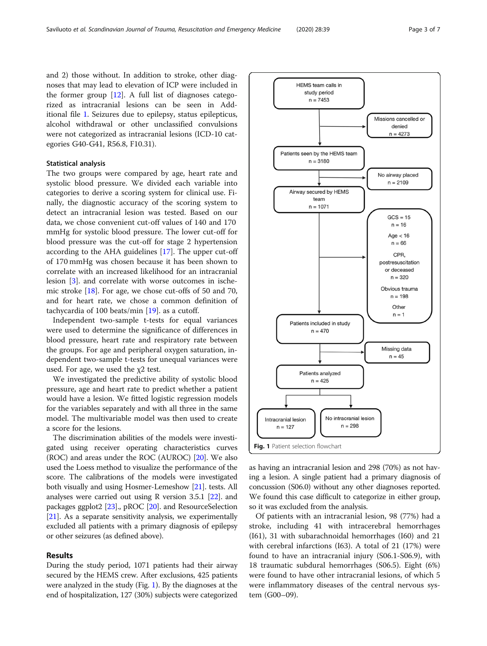and 2) those without. In addition to stroke, other diagnoses that may lead to elevation of ICP were included in the former group  $[12]$  $[12]$ . A full list of diagnoses categorized as intracranial lesions can be seen in Additional file [1.](#page-5-0) Seizures due to epilepsy, status epilepticus, alcohol withdrawal or other unclassified convulsions were not categorized as intracranial lesions (ICD-10 categories G40-G41, R56.8, F10.31).

#### Statistical analysis

The two groups were compared by age, heart rate and systolic blood pressure. We divided each variable into categories to derive a scoring system for clinical use. Finally, the diagnostic accuracy of the scoring system to detect an intracranial lesion was tested. Based on our data, we chose convenient cut-off values of 140 and 170 mmHg for systolic blood pressure. The lower cut-off for blood pressure was the cut-off for stage 2 hypertension according to the AHA guidelines [[17\]](#page-6-0). The upper cut-off of 170 mmHg was chosen because it has been shown to correlate with an increased likelihood for an intracranial lesion [[3\]](#page-6-0). and correlate with worse outcomes in ischemic stroke [[18](#page-6-0)]. For age, we chose cut-offs of 50 and 70, and for heart rate, we chose a common definition of tachycardia of 100 beats/min [\[19](#page-6-0)]. as a cutoff.

Independent two-sample t-tests for equal variances were used to determine the significance of differences in blood pressure, heart rate and respiratory rate between the groups. For age and peripheral oxygen saturation, independent two-sample t-tests for unequal variances were used. For age, we used the  $x^2$  test.

We investigated the predictive ability of systolic blood pressure, age and heart rate to predict whether a patient would have a lesion. We fitted logistic regression models for the variables separately and with all three in the same model. The multivariable model was then used to create a score for the lesions.

The discrimination abilities of the models were investigated using receiver operating characteristics curves (ROC) and areas under the ROC (AUROC) [[20](#page-6-0)]. We also used the Loess method to visualize the performance of the score. The calibrations of the models were investigated both visually and using Hosmer-Lemeshow [[21](#page-6-0)]. tests. All analyses were carried out using R version 3.5.1 [\[22\]](#page-6-0). and packages ggplot2 [\[23\]](#page-6-0)., pROC [\[20\]](#page-6-0). and ResourceSelection [[21](#page-6-0)]. As a separate sensitivity analysis, we experimentally excluded all patients with a primary diagnosis of epilepsy or other seizures (as defined above).

#### Results

During the study period, 1071 patients had their airway secured by the HEMS crew. After exclusions, 425 patients were analyzed in the study (Fig. 1). By the diagnoses at the end of hospitalization, 127 (30%) subjects were categorized



as having an intracranial lesion and 298 (70%) as not having a lesion. A single patient had a primary diagnosis of concussion (S06.0) without any other diagnoses reported. We found this case difficult to categorize in either group, so it was excluded from the analysis.

Of patients with an intracranial lesion, 98 (77%) had a stroke, including 41 with intracerebral hemorrhages (I61), 31 with subarachnoidal hemorrhages (I60) and 21 with cerebral infarctions (I63). A total of 21 (17%) were found to have an intracranial injury (S06.1-S06.9), with 18 traumatic subdural hemorrhages (S06.5). Eight (6%) were found to have other intracranial lesions, of which 5 were inflammatory diseases of the central nervous system (G00–09).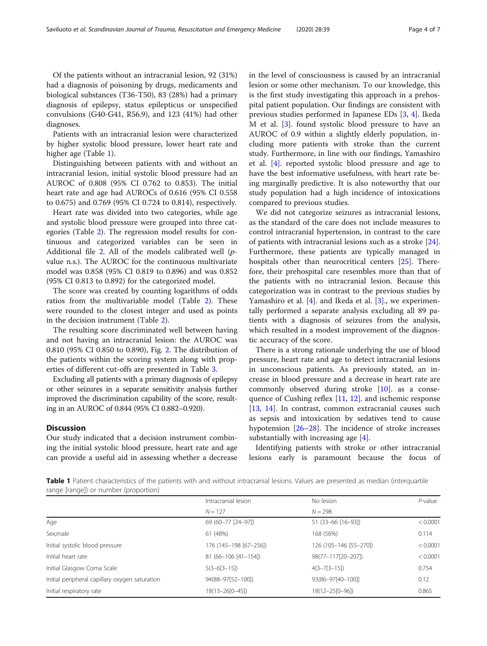Of the patients without an intracranial lesion, 92 (31%) had a diagnosis of poisoning by drugs, medicaments and biological substances (T36-T50), 83 (28%) had a primary diagnosis of epilepsy, status epilepticus or unspecified convulsions (G40-G41, R56.9), and 123 (41%) had other diagnoses.

Patients with an intracranial lesion were characterized by higher systolic blood pressure, lower heart rate and higher age (Table 1).

Distinguishing between patients with and without an intracranial lesion, initial systolic blood pressure had an AUROC of 0.808 (95% CI 0.762 to 0.853). The initial heart rate and age had AUROCs of 0.616 (95% CI 0.558 to 0.675) and 0.769 (95% CI 0.724 to 0.814), respectively.

Heart rate was divided into two categories, while age and systolic blood pressure were grouped into three categories (Table [2\)](#page-4-0). The regression model results for continuous and categorized variables can be seen in Additional file [2](#page-5-0). All of the models calibrated well (pvalue n.s.). The AUROC for the continuous multivariate model was 0.858 (95% CI 0.819 to 0.896) and was 0.852 (95% CI 0.813 to 0.892) for the categorized model.

The score was created by counting logarithms of odds ratios from the multivariable model (Table [2](#page-4-0)). These were rounded to the closest integer and used as points in the decision instrument (Table [2\)](#page-4-0).

The resulting score discriminated well between having and not having an intracranial lesion: the AUROC was 0.810 (95% CI 0.850 to 0.890), Fig. [2.](#page-4-0) The distribution of the patients within the scoring system along with properties of different cut-offs are presented in Table [3.](#page-5-0)

Excluding all patients with a primary diagnosis of epilepsy or other seizures in a separate sensitivity analysis further improved the discrimination capability of the score, resulting in an AUROC of 0.844 (95% CI 0.882–0.920).

#### **Discussion**

Our study indicated that a decision instrument combining the initial systolic blood pressure, heart rate and age can provide a useful aid in assessing whether a decrease in the level of consciousness is caused by an intracranial lesion or some other mechanism. To our knowledge, this is the first study investigating this approach in a prehospital patient population. Our findings are consistent with previous studies performed in Japanese EDs [[3](#page-6-0), [4\]](#page-6-0). Ikeda M et al. [[3\]](#page-6-0). found systolic blood pressure to have an AUROC of 0.9 within a slightly elderly population, including more patients with stroke than the current study. Furthermore, in line with our findings, Yamashiro et al. [[4](#page-6-0)]. reported systolic blood pressure and age to have the best informative usefulness, with heart rate being marginally predictive. It is also noteworthy that our study population had a high incidence of intoxications compared to previous studies.

We did not categorize seizures as intracranial lesions, as the standard of the care does not include measures to control intracranial hypertension, in contrast to the care of patients with intracranial lesions such as a stroke [\[24](#page-6-0)]. Furthermore, these patients are typically managed in hospitals other than neurocritical centers [\[25](#page-6-0)]. Therefore, their prehospital care resembles more than that of the patients with no intracranial lesion. Because this categorization was in contrast to the previous studies by Yamashiro et al.  $[4]$ . and Ikeda et al.  $[3]$  $[3]$ ., we experimentally performed a separate analysis excluding all 89 patients with a diagnosis of seizures from the analysis, which resulted in a modest improvement of the diagnostic accuracy of the score.

There is a strong rationale underlying the use of blood pressure, heart rate and age to detect intracranial lesions in unconscious patients. As previously stated, an increase in blood pressure and a decrease in heart rate are commonly observed during stroke [[10\]](#page-6-0). as a consequence of Cushing reflex  $[11, 12]$  $[11, 12]$  $[11, 12]$  $[11, 12]$ . and ischemic response [[13,](#page-6-0) [14](#page-6-0)]. In contrast, common extracranial causes such as sepsis and intoxication by sedatives tend to cause hypotension [[26](#page-6-0)–[28\]](#page-6-0). The incidence of stroke increases substantially with increasing age  $[4]$  $[4]$ .

Identifying patients with stroke or other intracranial lesions early is paramount because the focus of

Table 1 Patient characteristics of the patients with and without intracranial lesions. Values are presented as median (interquartile range [range]) or number (proportion)

|                                                | Intracranial lesion    | No lesion              | $P$ -value |  |
|------------------------------------------------|------------------------|------------------------|------------|--|
|                                                | $N = 127$              | $N = 298$              |            |  |
| Age                                            | 69 (60-77 [24-97])     | 51 (33-66 [16-93])     | < 0.0001   |  |
| Sex;male                                       | 61 (48%)               | 168 (56%)              | 0.114      |  |
| Initial systolic blood pressure                | 176 (145–198 [67–256]) | 126 (105–146 [55–270]) | < 0.0001   |  |
| Initial heart rate                             | 81 (66-106 [41-154])   | 98(77-117[20-207])     | < 0.0001   |  |
| Initial Glasgow Coma Scale                     | $5(3-6[3-15])$         | $4(3 - 7[3 - 15])$     | 0.754      |  |
| Initial peripheral capillary oxygen saturation | 94(88-97[52-100])      | 93(86-97[40-100]]      | 0.12       |  |
| Initial respiratory rate                       | 18(13–26[0–45])        | 18(12-25[0-96])        | 0.865      |  |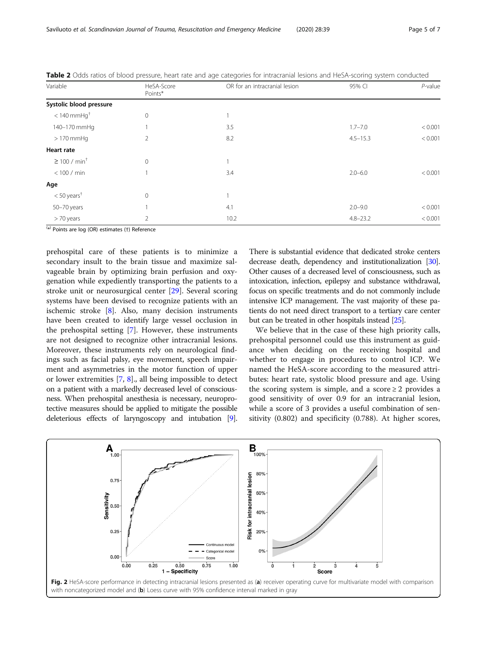| Variable                      | HeSA-Score<br>Points* | OR for an intracranial lesion | 95% CI       | $P$ -value |
|-------------------------------|-----------------------|-------------------------------|--------------|------------|
| Systolic blood pressure       |                       |                               |              |            |
| $<$ 140 mmHg <sup>+</sup>     | $\mathbf{0}$          |                               |              |            |
| 140-170 mmHq                  |                       | 3.5                           | $1.7 - 7.0$  | < 0.001    |
| $>170$ mmHq                   | 2                     | 8.2                           | $4.5 - 15.3$ | < 0.001    |
| Heart rate                    |                       |                               |              |            |
| $\geq$ 100 / min <sup>t</sup> | $\mathbf{0}$          |                               |              |            |
| < 100 / min                   |                       | 3.4                           | $2.0 - 6.0$  | < 0.001    |
| Age                           |                       |                               |              |            |
| $<$ 50 years <sup>†</sup>     | $\mathbf{0}$          |                               |              |            |
| 50-70 years                   |                       | 4.1                           | $2.0 - 9.0$  | < 0.001    |
| $> 70$ years                  | $\overline{2}$        | 10.2                          | $4.8 - 23.2$ | < 0.001    |

<span id="page-4-0"></span>Table 2 Odds ratios of blood pressure, heart rate and age categories for intracranial lesions and HeSA-scoring system conducted

( \* ) Points are log (OR) estimates (†) Reference

prehospital care of these patients is to minimize a secondary insult to the brain tissue and maximize salvageable brain by optimizing brain perfusion and oxygenation while expediently transporting the patients to a stroke unit or neurosurgical center [\[29](#page-6-0)]. Several scoring systems have been devised to recognize patients with an ischemic stroke [\[8\]](#page-6-0). Also, many decision instruments have been created to identify large vessel occlusion in the prehospital setting [[7](#page-6-0)]. However, these instruments are not designed to recognize other intracranial lesions. Moreover, these instruments rely on neurological findings such as facial palsy, eye movement, speech impairment and asymmetries in the motor function of upper or lower extremities [\[7](#page-6-0), [8](#page-6-0)]., all being impossible to detect on a patient with a markedly decreased level of consciousness. When prehospital anesthesia is necessary, neuroprotective measures should be applied to mitigate the possible deleterious effects of laryngoscopy and intubation [[9](#page-6-0)].

There is substantial evidence that dedicated stroke centers decrease death, dependency and institutionalization [\[30](#page-6-0)]. Other causes of a decreased level of consciousness, such as intoxication, infection, epilepsy and substance withdrawal, focus on specific treatments and do not commonly include intensive ICP management. The vast majority of these patients do not need direct transport to a tertiary care center but can be treated in other hospitals instead [\[25](#page-6-0)].

We believe that in the case of these high priority calls, prehospital personnel could use this instrument as guidance when deciding on the receiving hospital and whether to engage in procedures to control ICP. We named the HeSA-score according to the measured attributes: heart rate, systolic blood pressure and age. Using the scoring system is simple, and a score  $\geq 2$  provides a good sensitivity of over 0.9 for an intracranial lesion, while a score of 3 provides a useful combination of sensitivity (0.802) and specificity (0.788). At higher scores,

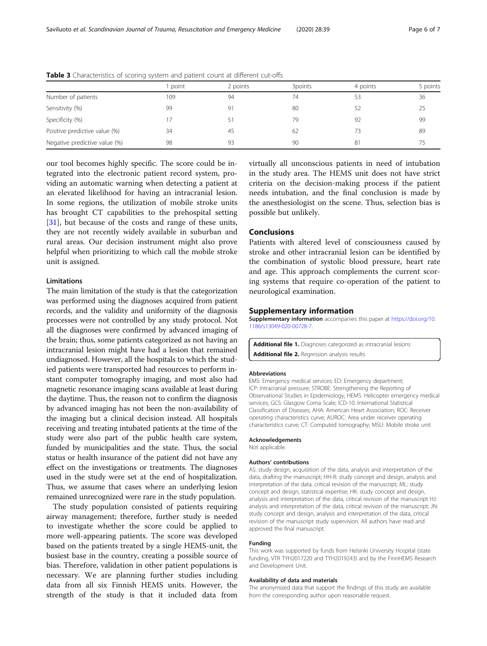|                               | point | 2 points | 3points | 4 points | 5 points |
|-------------------------------|-------|----------|---------|----------|----------|
| Number of patients            | 109   | 94       | 74      | 53       | 36       |
| Sensitivity (%)               | 99    | 91       | 80      | 52       | 25       |
| Specificity (%)               | 17    | 51       | 79      | 92       | 99       |
| Positive predictive value (%) | 34    | 45       | 62      | 73       | 89       |
| Negative predictive value (%) | 98    | 93       | 90      | 81       | 75       |

<span id="page-5-0"></span>Table 3 Characteristics of scoring system and patient count at different cut-offs

our tool becomes highly specific. The score could be integrated into the electronic patient record system, providing an automatic warning when detecting a patient at an elevated likelihood for having an intracranial lesion. In some regions, the utilization of mobile stroke units has brought CT capabilities to the prehospital setting [[31\]](#page-6-0), but because of the costs and range of these units, they are not recently widely available in suburban and rural areas. Our decision instrument might also prove helpful when prioritizing to which call the mobile stroke unit is assigned.

#### **Limitations**

The main limitation of the study is that the categorization was performed using the diagnoses acquired from patient records, and the validity and uniformity of the diagnosis processes were not controlled by any study protocol. Not all the diagnoses were confirmed by advanced imaging of the brain; thus, some patients categorized as not having an intracranial lesion might have had a lesion that remained undiagnosed. However, all the hospitals to which the studied patients were transported had resources to perform instant computer tomography imaging, and most also had magnetic resonance imaging scans available at least during the daytime. Thus, the reason not to confirm the diagnosis by advanced imaging has not been the non-availability of the imaging but a clinical decision instead. All hospitals receiving and treating intubated patients at the time of the study were also part of the public health care system, funded by municipalities and the state. Thus, the social status or health insurance of the patient did not have any effect on the investigations or treatments. The diagnoses used in the study were set at the end of hospitalization. Thus, we assume that cases where an underlying lesion remained unrecognized were rare in the study population.

The study population consisted of patients requiring airway management; therefore, further study is needed to investigate whether the score could be applied to more well-appearing patients. The score was developed based on the patients treated by a single HEMS-unit, the busiest base in the country, creating a possible source of bias. Therefore, validation in other patient populations is necessary. We are planning further studies including data from all six Finnish HEMS units. However, the strength of the study is that it included data from

virtually all unconscious patients in need of intubation in the study area. The HEMS unit does not have strict criteria on the decision-making process if the patient needs intubation, and the final conclusion is made by the anesthesiologist on the scene. Thus, selection bias is possible but unlikely.

#### Conclusions

Patients with altered level of consciousness caused by stroke and other intracranial lesion can be identified by the combination of systolic blood pressure, heart rate and age. This approach complements the current scoring systems that require co-operation of the patient to neurological examination.

#### Supplementary information

Supplementary information accompanies this paper at [https://doi.org/10.](https://doi.org/10.1186/s13049-020-00728-7) [1186/s13049-020-00728-7](https://doi.org/10.1186/s13049-020-00728-7).

Additional file 1. Diagnoses categorized as intracranial lesions Additional file 2. Regression analysis results

#### Abbreviations

EMS: Emergency medical services; ED: Emergency department; ICP: Intracranial pressure; STROBE: Strengthening the Reporting of Observational Studies in Epidemiology; HEMS: Helicopter emergency medical services; GCS: Glasgow Coma Scale; ICD-10: International Statistical Classification of Diseases; AHA: American Heart Association; ROC: Receiver operating characteristics curve; AUROC: Area under receiver operating characteristics curve; CT: Computed tomography; MSU: Mobile stroke unit

#### Acknowledgements

Not applicable.

#### Authors' contributions

AS: study design, acquisition of the data, analysis and interpretation of the data, drafting the manuscript; HH-R: study concept and design, analysis and interpretation of the data, critical revision of the manuscript; ML: study concept and design, statistical expertise; HK: study concept and design, analysis and interpretation of the data, critical revision of the manuscript HJ: analysis and interpretation of the data, critical revision of the manuscript; JN: study concept and design, analysis and interpretation of the data, critical revision of the manuscript study supervision. All authors have read and approved the final manuscript.

#### Funding

This work was supported by funds from Helsinki University Hospital (state funding, VTR TYH2017220 and TYH2019243) and by the FinnHEMS Research and Development Unit.

#### Availability of data and materials

The anonymized data that support the findings of this study are available from the corresponding author upon reasonable request.